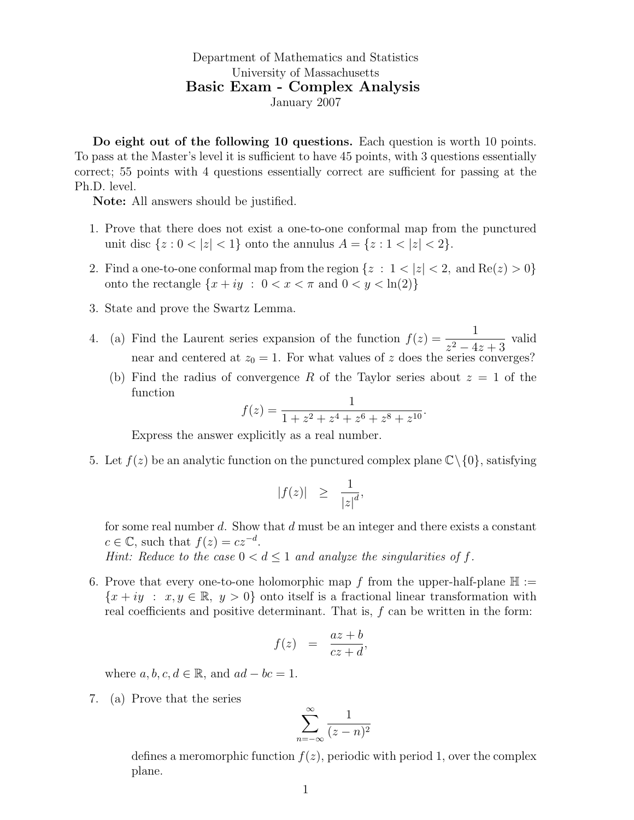Department of Mathematics and Statistics University of Massachusetts Basic Exam - Complex Analysis January 2007

Do eight out of the following 10 questions. Each question is worth 10 points. To pass at the Master's level it is sufficient to have 45 points, with 3 questions essentially correct; 55 points with 4 questions essentially correct are sufficient for passing at the Ph.D. level.

Note: All answers should be justified.

- 1. Prove that there does not exist a one-to-one conformal map from the punctured unit disc  $\{z : 0 < |z| < 1\}$  onto the annulus  $A = \{z : 1 < |z| < 2\}.$
- 2. Find a one-to-one conformal map from the region  $\{z : 1 < |z| < 2$ , and  $\text{Re}(z) > 0\}$ onto the rectangle  $\{x + iy : 0 < x < \pi \text{ and } 0 < y < \ln(2)\}\$
- 3. State and prove the Swartz Lemma.
- 4. (a) Find the Laurent series expansion of the function  $f(z) = \frac{1}{z-4}$  $\frac{1}{z^2-4z+3}$  valid near and centered at  $z_0 = 1$ . For what values of z does the series converges?
	- (b) Find the radius of convergence R of the Taylor series about  $z = 1$  of the function

$$
f(z) = \frac{1}{1 + z^2 + z^4 + z^6 + z^8 + z^{10}}.
$$

Express the answer explicitly as a real number.

5. Let  $f(z)$  be an analytic function on the punctured complex plane  $\mathbb{C}\setminus\{0\}$ , satisfying

$$
|f(z)| \geq \frac{1}{|z|^d},
$$

for some real number d. Show that d must be an integer and there exists a constant  $c \in \mathbb{C}$ , such that  $f(z) = cz^{-d}$ .

Hint: Reduce to the case  $0 < d \leq 1$  and analyze the singularities of f.

6. Prove that every one-to-one holomorphic map f from the upper-half-plane  $\mathbb{H}$  :=  ${x + iy : x, y \in \mathbb{R}, y > 0}$  onto itself is a fractional linear transformation with real coefficients and positive determinant. That is,  $f$  can be written in the form:

$$
f(z) = \frac{az+b}{cz+d},
$$

where  $a, b, c, d \in \mathbb{R}$ , and  $ad - bc = 1$ .

7. (a) Prove that the series

$$
\sum_{n=-\infty}^{\infty} \frac{1}{(z-n)^2}
$$

defines a meromorphic function  $f(z)$ , periodic with period 1, over the complex plane.